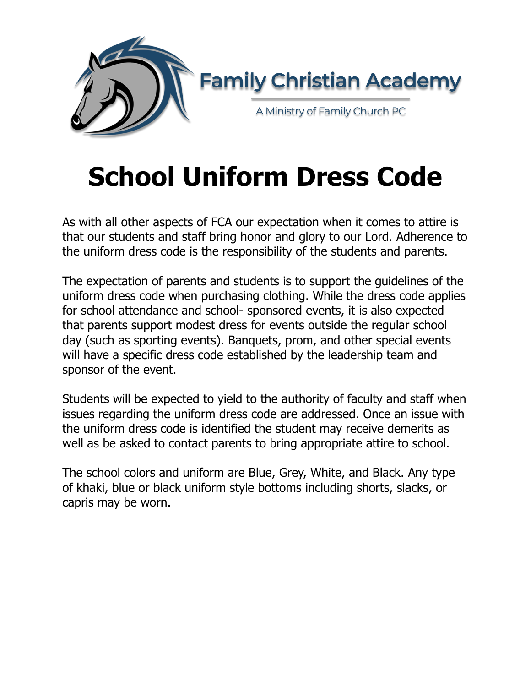

# **School Uniform Dress Code**

As with all other aspects of FCA our expectation when it comes to attire is that our students and staff bring honor and glory to our Lord. Adherence to the uniform dress code is the responsibility of the students and parents.

The expectation of parents and students is to support the guidelines of the uniform dress code when purchasing clothing. While the dress code applies for school attendance and school- sponsored events, it is also expected that parents support modest dress for events outside the regular school day (such as sporting events). Banquets, prom, and other special events will have a specific dress code established by the leadership team and sponsor of the event.

Students will be expected to yield to the authority of faculty and staff when issues regarding the uniform dress code are addressed. Once an issue with the uniform dress code is identified the student may receive demerits as well as be asked to contact parents to bring appropriate attire to school.

The school colors and uniform are Blue, Grey, White, and Black. Any type of khaki, blue or black uniform style bottoms including shorts, slacks, or capris may be worn.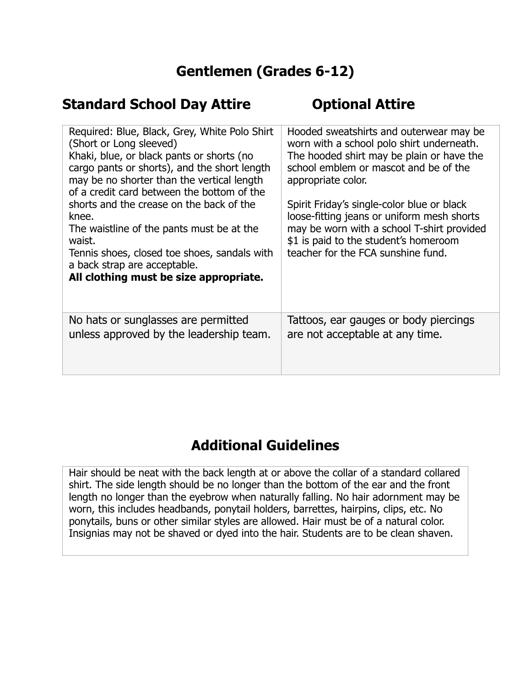### **Gentlemen (Grades 6-12)**

#### **Standard School Day Attire <b>Constructer Optional Attire**

| Required: Blue, Black, Grey, White Polo Shirt<br>(Short or Long sleeved)<br>Khaki, blue, or black pants or shorts (no<br>cargo pants or shorts), and the short length<br>may be no shorter than the vertical length<br>of a credit card between the bottom of the<br>shorts and the crease on the back of the<br>knee.<br>The waistline of the pants must be at the<br>waist.<br>Tennis shoes, closed toe shoes, sandals with<br>a back strap are acceptable.<br>All clothing must be size appropriate. | Hooded sweatshirts and outerwear may be<br>worn with a school polo shirt underneath.<br>The hooded shirt may be plain or have the<br>school emblem or mascot and be of the<br>appropriate color.<br>Spirit Friday's single-color blue or black<br>loose-fitting jeans or uniform mesh shorts<br>may be worn with a school T-shirt provided<br>\$1 is paid to the student's homeroom<br>teacher for the FCA sunshine fund. |
|---------------------------------------------------------------------------------------------------------------------------------------------------------------------------------------------------------------------------------------------------------------------------------------------------------------------------------------------------------------------------------------------------------------------------------------------------------------------------------------------------------|---------------------------------------------------------------------------------------------------------------------------------------------------------------------------------------------------------------------------------------------------------------------------------------------------------------------------------------------------------------------------------------------------------------------------|
| No hats or sunglasses are permitted                                                                                                                                                                                                                                                                                                                                                                                                                                                                     | Tattoos, ear gauges or body piercings                                                                                                                                                                                                                                                                                                                                                                                     |
| unless approved by the leadership team.                                                                                                                                                                                                                                                                                                                                                                                                                                                                 | are not acceptable at any time.                                                                                                                                                                                                                                                                                                                                                                                           |

### **Additional Guidelines**

Hair should be neat with the back length at or above the collar of a standard collared shirt. The side length should be no longer than the bottom of the ear and the front length no longer than the eyebrow when naturally falling. No hair adornment may be worn, this includes headbands, ponytail holders, barrettes, hairpins, clips, etc. No ponytails, buns or other similar styles are allowed. Hair must be of a natural color. Insignias may not be shaved or dyed into the hair. Students are to be clean shaven.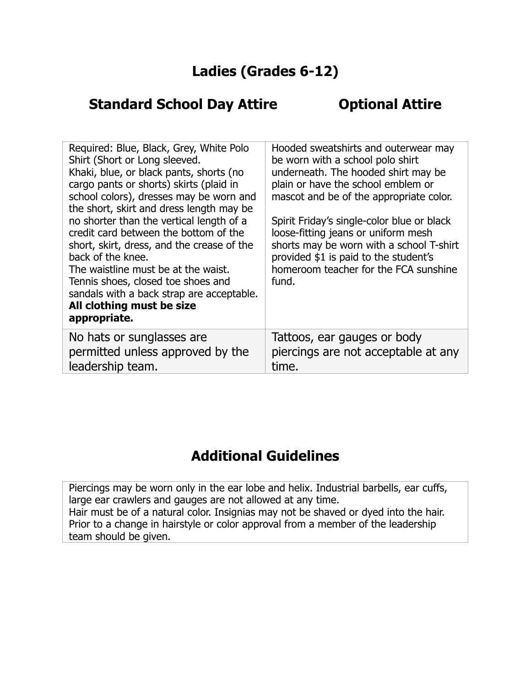#### **Ladies (Grades 6-12)**

#### **Standard School Day Attire <b>Contact Optional Attire**

| Required: Blue, Black, Grey, White Polo<br>Shirt (Short or Long sleeved.<br>Khaki, blue, or black pants, shorts (no<br>cargo pants or shorts) skirts (plaid in<br>school colors), dresses may be worn and<br>the short, skirt and dress length may be<br>no shorter than the vertical length of a<br>credit card between the bottom of the<br>short, skirt, dress, and the crease of the<br>back of the knee.<br>The waistline must be at the waist.<br>Tennis shoes, closed toe shoes and<br>sandals with a back strap are acceptable.<br>All clothing must be size<br>appropriate. | Hooded sweatshirts and outerwear may<br>be worn with a school polo shirt<br>underneath. The hooded shirt may be<br>plain or have the school emblem or<br>mascot and be of the appropriate color.<br>Spirit Friday's single-color blue or black<br>loose-fitting jeans or uniform mesh<br>shorts may be worn with a school T-shirt<br>provided \$1 is paid to the student's<br>homeroom teacher for the FCA sunshine<br>fund. |
|--------------------------------------------------------------------------------------------------------------------------------------------------------------------------------------------------------------------------------------------------------------------------------------------------------------------------------------------------------------------------------------------------------------------------------------------------------------------------------------------------------------------------------------------------------------------------------------|------------------------------------------------------------------------------------------------------------------------------------------------------------------------------------------------------------------------------------------------------------------------------------------------------------------------------------------------------------------------------------------------------------------------------|
| No hats or sunglasses are<br>permitted unless approved by the<br>leadership team.                                                                                                                                                                                                                                                                                                                                                                                                                                                                                                    | Tattoos, ear gauges or body<br>piercings are not acceptable at any<br>time.                                                                                                                                                                                                                                                                                                                                                  |

# **Additional Guidelines**

Piercings may be worn only in the ear lobe and helix. Industrial barbells, ear cuffs, large ear crawlers and gauges are not allowed at any time. Hair must be of a natural color. Insignias may not be shaved or dyed into the hair. Prior to a change in hairstyle or color approval from a member of the leadership team should be given.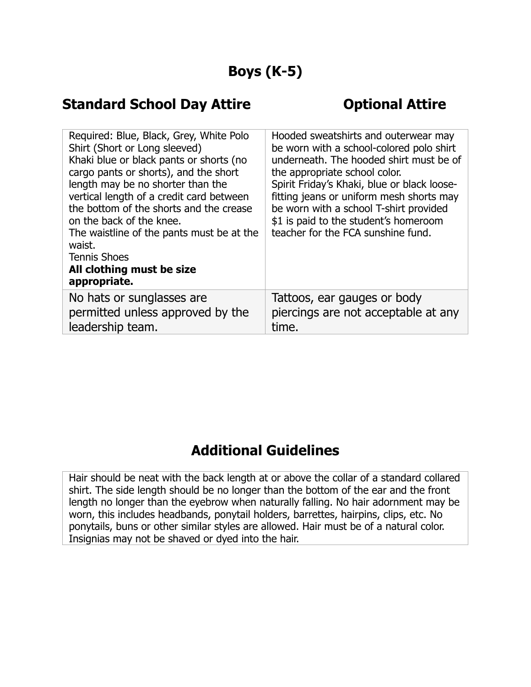### **Boys (K-5)**

#### **Standard School Day Attire <b>Concernate Control** Cyptional Attire

| Required: Blue, Black, Grey, White Polo<br>Shirt (Short or Long sleeved)<br>Khaki blue or black pants or shorts (no<br>cargo pants or shorts), and the short<br>length may be no shorter than the<br>vertical length of a credit card between<br>the bottom of the shorts and the crease<br>on the back of the knee.<br>The waistline of the pants must be at the<br>waist.<br><b>Tennis Shoes</b><br>All clothing must be size<br>appropriate. | Hooded sweatshirts and outerwear may<br>be worn with a school-colored polo shirt<br>underneath. The hooded shirt must be of<br>the appropriate school color.<br>Spirit Friday's Khaki, blue or black loose-<br>fitting jeans or uniform mesh shorts may<br>be worn with a school T-shirt provided<br>\$1 is paid to the student's homeroom<br>teacher for the FCA sunshine fund. |
|-------------------------------------------------------------------------------------------------------------------------------------------------------------------------------------------------------------------------------------------------------------------------------------------------------------------------------------------------------------------------------------------------------------------------------------------------|----------------------------------------------------------------------------------------------------------------------------------------------------------------------------------------------------------------------------------------------------------------------------------------------------------------------------------------------------------------------------------|
| No hats or sunglasses are                                                                                                                                                                                                                                                                                                                                                                                                                       | Tattoos, ear gauges or body                                                                                                                                                                                                                                                                                                                                                      |
| permitted unless approved by the                                                                                                                                                                                                                                                                                                                                                                                                                | piercings are not acceptable at any                                                                                                                                                                                                                                                                                                                                              |
| leadership team.                                                                                                                                                                                                                                                                                                                                                                                                                                | time.                                                                                                                                                                                                                                                                                                                                                                            |

### **Additional Guidelines**

Hair should be neat with the back length at or above the collar of a standard collared shirt. The side length should be no longer than the bottom of the ear and the front length no longer than the eyebrow when naturally falling. No hair adornment may be worn, this includes headbands, ponytail holders, barrettes, hairpins, clips, etc. No ponytails, buns or other similar styles are allowed. Hair must be of a natural color. Insignias may not be shaved or dyed into the hair.